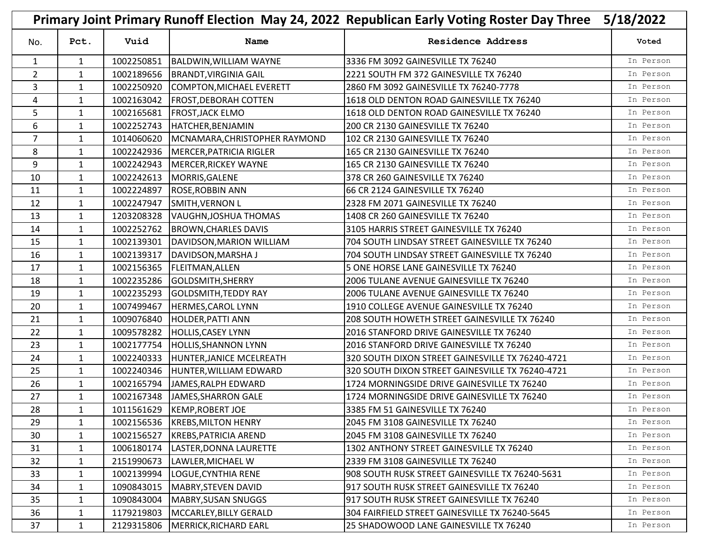|                | Primary Joint Primary Runoff Election May 24, 2022 Republican Early Voting Roster Day Three 5/18/2022 |            |                               |                                                  |           |
|----------------|-------------------------------------------------------------------------------------------------------|------------|-------------------------------|--------------------------------------------------|-----------|
| No.            | Pct.                                                                                                  | Vuid       | Name                          | <b>Residence Address</b>                         | Voted     |
| 1              | $\mathbf{1}$                                                                                          | 1002250851 | <b>BALDWIN, WILLIAM WAYNE</b> | 3336 FM 3092 GAINESVILLE TX 76240                | In Person |
| $\overline{2}$ | 1                                                                                                     | 1002189656 | <b>BRANDT, VIRGINIA GAIL</b>  | 2221 SOUTH FM 372 GAINESVILLE TX 76240           | In Person |
| 3              | $\mathbf{1}$                                                                                          | 1002250920 | COMPTON, MICHAEL EVERETT      | 2860 FM 3092 GAINESVILLE TX 76240-7778           | In Person |
| 4              | $\mathbf 1$                                                                                           | 1002163042 | <b>FROST, DEBORAH COTTEN</b>  | 1618 OLD DENTON ROAD GAINESVILLE TX 76240        | In Person |
| 5              | $\mathbf{1}$                                                                                          | 1002165681 | <b>FROST, JACK ELMO</b>       | 1618 OLD DENTON ROAD GAINESVILLE TX 76240        | In Person |
| 6              | $\mathbf{1}$                                                                                          | 1002252743 | HATCHER, BENJAMIN             | 200 CR 2130 GAINESVILLE TX 76240                 | In Person |
| $\overline{7}$ | 1                                                                                                     | 1014060620 | MCNAMARA, CHRISTOPHER RAYMOND | 102 CR 2130 GAINESVILLE TX 76240                 | In Person |
| 8              | $\mathbf{1}$                                                                                          | 1002242936 | MERCER, PATRICIA RIGLER       | 165 CR 2130 GAINESVILLE TX 76240                 | In Person |
| 9              | $\mathbf{1}$                                                                                          | 1002242943 | <b>MERCER, RICKEY WAYNE</b>   | 165 CR 2130 GAINESVILLE TX 76240                 | In Person |
| 10             | $\mathbf{1}$                                                                                          | 1002242613 | MORRIS, GALENE                | 378 CR 260 GAINESVILLE TX 76240                  | In Person |
| 11             | $\mathbf{1}$                                                                                          | 1002224897 | <b>ROSE, ROBBIN ANN</b>       | 66 CR 2124 GAINESVILLE TX 76240                  | In Person |
| 12             | $\mathbf{1}$                                                                                          | 1002247947 | <b>SMITH, VERNON L</b>        | 2328 FM 2071 GAINESVILLE TX 76240                | In Person |
| 13             | $\mathbf{1}$                                                                                          | 1203208328 | VAUGHN, JOSHUA THOMAS         | 1408 CR 260 GAINESVILLE TX 76240                 | In Person |
| 14             | 1                                                                                                     | 1002252762 | <b>BROWN, CHARLES DAVIS</b>   | 3105 HARRIS STREET GAINESVILLE TX 76240          | In Person |
| 15             | $\mathbf{1}$                                                                                          | 1002139301 | DAVIDSON, MARION WILLIAM      | 704 SOUTH LINDSAY STREET GAINESVILLE TX 76240    | In Person |
| 16             | $\mathbf{1}$                                                                                          | 1002139317 | DAVIDSON, MARSHA J            | 704 SOUTH LINDSAY STREET GAINESVILLE TX 76240    | In Person |
| 17             | $\mathbf{1}$                                                                                          | 1002156365 | <b>FLEITMAN, ALLEN</b>        | 5 ONE HORSE LANE GAINESVILLE TX 76240            | In Person |
| 18             | $\mathbf{1}$                                                                                          | 1002235286 | GOLDSMITH, SHERRY             | 2006 TULANE AVENUE GAINESVILLE TX 76240          | In Person |
| 19             | $\mathbf{1}$                                                                                          | 1002235293 | <b>GOLDSMITH, TEDDY RAY</b>   | 2006 TULANE AVENUE GAINESVILLE TX 76240          | In Person |
| 20             | $\mathbf{1}$                                                                                          | 1007499467 | <b>HERMES, CAROL LYNN</b>     | 1910 COLLEGE AVENUE GAINESVILLE TX 76240         | In Person |
| 21             | $\mathbf{1}$                                                                                          | 1009076840 | <b>HOLDER, PATTI ANN</b>      | 208 SOUTH HOWETH STREET GAINESVILLE TX 76240     | In Person |
| 22             | $\mathbf{1}$                                                                                          | 1009578282 | <b>HOLLIS, CASEY LYNN</b>     | 2016 STANFORD DRIVE GAINESVILLE TX 76240         | In Person |
| 23             | $\mathbf 1$                                                                                           | 1002177754 | <b>HOLLIS, SHANNON LYNN</b>   | 2016 STANFORD DRIVE GAINESVILLE TX 76240         | In Person |
| 24             | $\mathbf{1}$                                                                                          | 1002240333 | HUNTER, JANICE MCELREATH      | 320 SOUTH DIXON STREET GAINESVILLE TX 76240-4721 | In Person |
| 25             | $\mathbf{1}$                                                                                          | 1002240346 | HUNTER, WILLIAM EDWARD        | 320 SOUTH DIXON STREET GAINESVILLE TX 76240-4721 | In Person |
| 26             | 1                                                                                                     | 1002165794 | JAMES, RALPH EDWARD           | 1724 MORNINGSIDE DRIVE GAINESVILLE TX 76240      | In Person |
| 27             | $\mathbf{1}$                                                                                          | 1002167348 | JAMES, SHARRON GALE           | 1724 MORNINGSIDE DRIVE GAINESVILLE TX 76240      | In Person |
| 28             | $\mathbf{1}$                                                                                          | 1011561629 | <b>KEMP, ROBERT JOE</b>       | 3385 FM 51 GAINESVILLE TX 76240                  | In Person |
| 29             | $\mathbf{1}$                                                                                          | 1002156536 | <b>KREBS, MILTON HENRY</b>    | 2045 FM 3108 GAINESVILLE TX 76240                | In Person |
| 30             | $\mathbf{1}$                                                                                          | 1002156527 | <b>KREBS, PATRICIA AREND</b>  | 2045 FM 3108 GAINESVILLE TX 76240                | In Person |
| 31             | $\mathbf{1}$                                                                                          | 1006180174 | LASTER, DONNA LAURETTE        | 1302 ANTHONY STREET GAINESVILLE TX 76240         | In Person |
| 32             | $\mathbf{1}$                                                                                          | 2151990673 | LAWLER, MICHAEL W             | 2339 FM 3108 GAINESVILLE TX 76240                | In Person |
| 33             | 1                                                                                                     | 1002139994 | LOGUE, CYNTHIA RENE           | 908 SOUTH RUSK STREET GAINESVILLE TX 76240-5631  | In Person |
| 34             | $\mathbf{1}$                                                                                          | 1090843015 | MABRY, STEVEN DAVID           | 917 SOUTH RUSK STREET GAINESVILLE TX 76240       | In Person |
| 35             | $\mathbf{1}$                                                                                          | 1090843004 | MABRY, SUSAN SNUGGS           | 917 SOUTH RUSK STREET GAINESVILLE TX 76240       | In Person |
| 36             | $\mathbf{1}$                                                                                          | 1179219803 | MCCARLEY, BILLY GERALD        | 304 FAIRFIELD STREET GAINESVILLE TX 76240-5645   | In Person |
| 37             | $\mathbf{1}$                                                                                          | 2129315806 | MERRICK, RICHARD EARL         | 25 SHADOWOOD LANE GAINESVILLE TX 76240           | In Person |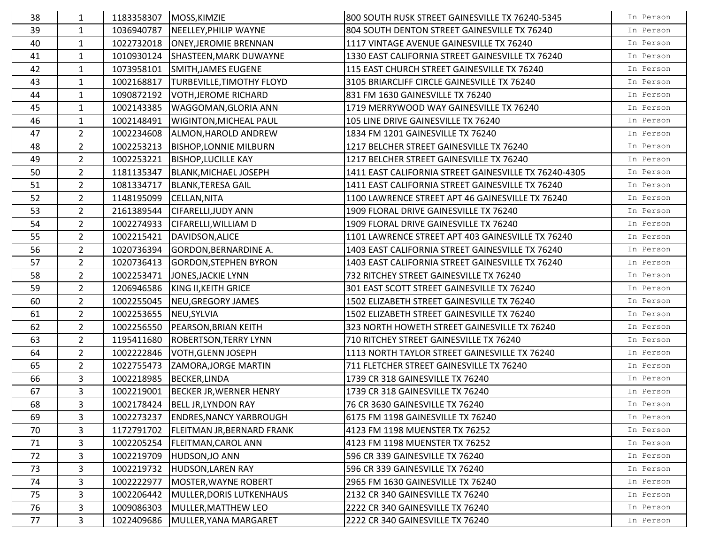| 38 | 1              | 1183358307 | MOSS, KIMZIE                      | 800 SOUTH RUSK STREET GAINESVILLE TX 76240-5345       | In Person |
|----|----------------|------------|-----------------------------------|-------------------------------------------------------|-----------|
| 39 | 1              | 1036940787 | NEELLEY, PHILIP WAYNE             | 804 SOUTH DENTON STREET GAINESVILLE TX 76240          | In Person |
| 40 | $\mathbf{1}$   | 1022732018 | <b>ONEY, JEROMIE BRENNAN</b>      | 1117 VINTAGE AVENUE GAINESVILLE TX 76240              | In Person |
| 41 | $\mathbf{1}$   | 1010930124 | SHASTEEN, MARK DUWAYNE            | 1330 EAST CALIFORNIA STREET GAINESVILLE TX 76240      | In Person |
| 42 | $\mathbf{1}$   | 1073958101 | SMITH, JAMES EUGENE               | 115 EAST CHURCH STREET GAINESVILLE TX 76240           | In Person |
| 43 | $\mathbf{1}$   | 1002168817 | <b>TURBEVILLE, TIMOTHY FLOYD</b>  | 3105 BRIARCLIFF CIRCLE GAINESVILLE TX 76240           | In Person |
| 44 | 1              | 1090872192 | <b>VOTH, JEROME RICHARD</b>       | 831 FM 1630 GAINESVILLE TX 76240                      | In Person |
| 45 | $\mathbf{1}$   | 1002143385 | WAGGOMAN, GLORIA ANN              | 1719 MERRYWOOD WAY GAINESVILLE TX 76240               | In Person |
| 46 | $\mathbf{1}$   | 1002148491 | <b>WIGINTON, MICHEAL PAUL</b>     | 105 LINE DRIVE GAINESVILLE TX 76240                   | In Person |
| 47 | $\overline{2}$ | 1002234608 | ALMON, HAROLD ANDREW              | 1834 FM 1201 GAINESVILLE TX 76240                     | In Person |
| 48 | $\overline{2}$ | 1002253213 | <b>BISHOP, LONNIE MILBURN</b>     | 1217 BELCHER STREET GAINESVILLE TX 76240              | In Person |
| 49 | $\overline{2}$ | 1002253221 | <b>BISHOP, LUCILLE KAY</b>        | 1217 BELCHER STREET GAINESVILLE TX 76240              | In Person |
| 50 | $\overline{2}$ | 1181135347 | <b>BLANK, MICHAEL JOSEPH</b>      | 1411 EAST CALIFORNIA STREET GAINESVILLE TX 76240-4305 | In Person |
| 51 | $2^{\circ}$    | 1081334717 | <b>BLANK, TERESA GAIL</b>         | 1411 EAST CALIFORNIA STREET GAINESVILLE TX 76240      | In Person |
| 52 | $\overline{2}$ | 1148195099 | <b>CELLAN, NITA</b>               | 1100 LAWRENCE STREET APT 46 GAINESVILLE TX 76240      | In Person |
| 53 | $2^{\circ}$    | 2161389544 | <b>CIFARELLI, JUDY ANN</b>        | 1909 FLORAL DRIVE GAINESVILLE TX 76240                | In Person |
| 54 | $\overline{2}$ | 1002274933 | CIFARELLI, WILLIAM D              | 1909 FLORAL DRIVE GAINESVILLE TX 76240                | In Person |
| 55 | $\overline{2}$ | 1002215421 | DAVIDSON, ALICE                   | 1101 LAWRENCE STREET APT 403 GAINESVILLE TX 76240     | In Person |
| 56 | $\overline{2}$ | 1020736394 | <b>GORDON, BERNARDINE A.</b>      | 1403 EAST CALIFORNIA STREET GAINESVILLE TX 76240      | In Person |
| 57 | $2^{\circ}$    | 1020736413 | <b>GORDON, STEPHEN BYRON</b>      | 1403 EAST CALIFORNIA STREET GAINESVILLE TX 76240      | In Person |
| 58 | $2^{\circ}$    | 1002253471 | JONES, JACKIE LYNN                | 732 RITCHEY STREET GAINESVILLE TX 76240               | In Person |
| 59 | $\overline{2}$ | 1206946586 | KING II, KEITH GRICE              | 301 EAST SCOTT STREET GAINESVILLE TX 76240            | In Person |
| 60 | $\overline{2}$ | 1002255045 | NEU, GREGORY JAMES                | 1502 ELIZABETH STREET GAINESVILLE TX 76240            | In Person |
| 61 | $\overline{2}$ | 1002253655 | NEU, SYLVIA                       | 1502 ELIZABETH STREET GAINESVILLE TX 76240            | In Person |
| 62 | $\overline{2}$ | 1002256550 | <b>PEARSON, BRIAN KEITH</b>       | 323 NORTH HOWETH STREET GAINESVILLE TX 76240          | In Person |
| 63 | $\overline{2}$ | 1195411680 | <b>ROBERTSON, TERRY LYNN</b>      | 710 RITCHEY STREET GAINESVILLE TX 76240               | In Person |
| 64 | $\overline{2}$ | 1002222846 | VOTH, GLENN JOSEPH                | 1113 NORTH TAYLOR STREET GAINESVILLE TX 76240         | In Person |
| 65 | $\overline{2}$ | 1022755473 | ZAMORA, JORGE MARTIN              | 711 FLETCHER STREET GAINESVILLE TX 76240              | In Person |
| 66 | $\overline{3}$ | 1002218985 | <b>BECKER, LINDA</b>              | 1739 CR 318 GAINESVILLE TX 76240                      | In Person |
| 67 | 3              | 1002219001 | <b>BECKER JR, WERNER HENRY</b>    | 1739 CR 318 GAINESVILLE TX 76240                      | In Person |
| 68 | 3              |            | 1002178424   BELL JR, LYNDON RAY  | 76 CR 3630 GAINESVILLE TX 76240                       | In Person |
| 69 | 3              | 1002273237 | <b>ENDRES, NANCY YARBROUGH</b>    | 6175 FM 1198 GAINESVILLE TX 76240                     | In Person |
| 70 | 3              | 1172791702 | <b>FLEITMAN JR, BERNARD FRANK</b> | 4123 FM 1198 MUENSTER TX 76252                        | In Person |
| 71 | 3              | 1002205254 | <b>FLEITMAN, CAROL ANN</b>        | 4123 FM 1198 MUENSTER TX 76252                        | In Person |
| 72 | 3 <sup>1</sup> | 1002219709 | HUDSON, JO ANN                    | 596 CR 339 GAINESVILLE TX 76240                       | In Person |
| 73 | 3              | 1002219732 | <b>HUDSON, LAREN RAY</b>          | 596 CR 339 GAINESVILLE TX 76240                       | In Person |
| 74 | 3              | 1002222977 | MOSTER, WAYNE ROBERT              | 2965 FM 1630 GAINESVILLE TX 76240                     | In Person |
| 75 | 3              | 1002206442 | MULLER, DORIS LUTKENHAUS          | 2132 CR 340 GAINESVILLE TX 76240                      | In Person |
| 76 | 3              | 1009086303 | MULLER, MATTHEW LEO               | 2222 CR 340 GAINESVILLE TX 76240                      | In Person |
| 77 | 3 <sup>1</sup> | 1022409686 | MULLER, YANA MARGARET             | 2222 CR 340 GAINESVILLE TX 76240                      | In Person |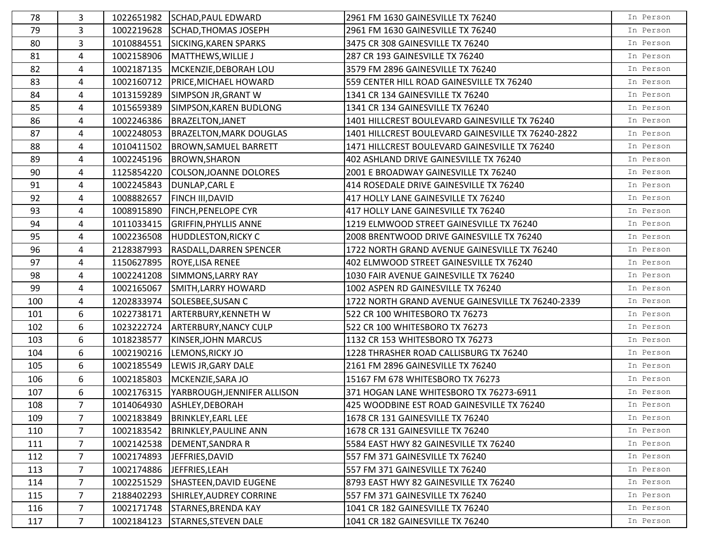| 78  | 3              | 1022651982 | SCHAD, PAUL EDWARD             | 2961 FM 1630 GAINESVILLE TX 76240                  | In Person |
|-----|----------------|------------|--------------------------------|----------------------------------------------------|-----------|
| 79  | $\overline{3}$ | 1002219628 | SCHAD, THOMAS JOSEPH           | 2961 FM 1630 GAINESVILLE TX 76240                  | In Person |
| 80  | 3              | 1010884551 | <b>SICKING, KAREN SPARKS</b>   | 3475 CR 308 GAINESVILLE TX 76240                   | In Person |
| 81  | 4              | 1002158906 | MATTHEWS, WILLIE J             | 287 CR 193 GAINESVILLE TX 76240                    | In Person |
| 82  | 4              | 1002187135 | MCKENZIE, DEBORAH LOU          | 3579 FM 2896 GAINESVILLE TX 76240                  | In Person |
| 83  | 4              | 1002160712 | PRICE, MICHAEL HOWARD          | 559 CENTER HILL ROAD GAINESVILLE TX 76240          | In Person |
| 84  | 4              | 1013159289 | SIMPSON JR, GRANT W            | 1341 CR 134 GAINESVILLE TX 76240                   | In Person |
| 85  | 4              | 1015659389 | <b>SIMPSON, KAREN BUDLONG</b>  | 1341 CR 134 GAINESVILLE TX 76240                   | In Person |
| 86  | 4              | 1002246386 | <b>BRAZELTON, JANET</b>        | 1401 HILLCREST BOULEVARD GAINESVILLE TX 76240      | In Person |
| 87  | 4              | 1002248053 | <b>BRAZELTON, MARK DOUGLAS</b> | 1401 HILLCREST BOULEVARD GAINESVILLE TX 76240-2822 | In Person |
| 88  | 4              | 1010411502 | <b>BROWN, SAMUEL BARRETT</b>   | 1471 HILLCREST BOULEVARD GAINESVILLE TX 76240      | In Person |
| 89  | 4              | 1002245196 | <b>BROWN, SHARON</b>           | 402 ASHLAND DRIVE GAINESVILLE TX 76240             | In Person |
| 90  | 4              | 1125854220 | COLSON, JOANNE DOLORES         | 2001 E BROADWAY GAINESVILLE TX 76240               | In Person |
| 91  | 4              | 1002245843 | DUNLAP, CARL E                 | 414 ROSEDALE DRIVE GAINESVILLE TX 76240            | In Person |
| 92  | 4              | 1008882657 | FINCH III, DAVID               | 417 HOLLY LANE GAINESVILLE TX 76240                | In Person |
| 93  | 4              | 1008915890 | <b>FINCH, PENELOPE CYR</b>     | 417 HOLLY LANE GAINESVILLE TX 76240                | In Person |
| 94  | 4              | 1011033415 | <b>GRIFFIN, PHYLLIS ANNE</b>   | 1219 ELMWOOD STREET GAINESVILLE TX 76240           | In Person |
| 95  | 4              | 1002236508 | <b>HUDDLESTON, RICKY C</b>     | 2008 BRENTWOOD DRIVE GAINESVILLE TX 76240          | In Person |
| 96  | 4              | 2128387993 | RASDALL, DARREN SPENCER        | 1722 NORTH GRAND AVENUE GAINESVILLE TX 76240       | In Person |
| 97  | 4              | 1150627895 | <b>ROYE, LISA RENEE</b>        | 402 ELMWOOD STREET GAINESVILLE TX 76240            | In Person |
| 98  | 4              | 1002241208 | <b>SIMMONS, LARRY RAY</b>      | 1030 FAIR AVENUE GAINESVILLE TX 76240              | In Person |
| 99  | 4              | 1002165067 | <b>SMITH, LARRY HOWARD</b>     | 1002 ASPEN RD GAINESVILLE TX 76240                 | In Person |
| 100 | 4              | 1202833974 | SOLESBEE, SUSAN C              | 1722 NORTH GRAND AVENUE GAINESVILLE TX 76240-2339  | In Person |
| 101 | 6              | 1022738171 | <b>ARTERBURY, KENNETH W</b>    | 522 CR 100 WHITESBORO TX 76273                     | In Person |
| 102 | 6              | 1023222724 | <b>ARTERBURY, NANCY CULP</b>   | 522 CR 100 WHITESBORO TX 76273                     | In Person |
| 103 | 6              | 1018238577 | KINSER, JOHN MARCUS            | 1132 CR 153 WHITESBORO TX 76273                    | In Person |
| 104 | 6              | 1002190216 | LEMONS, RICKY JO               | 1228 THRASHER ROAD CALLISBURG TX 76240             | In Person |
| 105 | 6              | 1002185549 | LEWIS JR, GARY DALE            | 2161 FM 2896 GAINESVILLE TX 76240                  | In Person |
| 106 | 6              | 1002185803 | MCKENZIE, SARA JO              | 15167 FM 678 WHITESBORO TX 76273                   | In Person |
| 107 | 6              | 1002176315 | YARBROUGH, JENNIFER ALLISON    | 371 HOGAN LANE WHITESBORO TX 76273-6911            | In Person |
| 108 | $\overline{7}$ |            | 1014064930 ASHLEY, DEBORAH     | 425 WOODBINE EST ROAD GAINESVILLE TX 76240         | In Person |
| 109 | $\overline{7}$ | 1002183849 | <b>BRINKLEY, EARL LEE</b>      | 1678 CR 131 GAINESVILLE TX 76240                   | In Person |
| 110 | 7              | 1002183542 | <b>BRINKLEY, PAULINE ANN</b>   | 1678 CR 131 GAINESVILLE TX 76240                   | In Person |
| 111 | 7              | 1002142538 | DEMENT, SANDRA R               | 5584 EAST HWY 82 GAINESVILLE TX 76240              | In Person |
| 112 | $\overline{7}$ | 1002174893 | JEFFRIES, DAVID                | 557 FM 371 GAINESVILLE TX 76240                    | In Person |
| 113 | $\overline{7}$ | 1002174886 | JEFFRIES, LEAH                 | 557 FM 371 GAINESVILLE TX 76240                    | In Person |
| 114 | $\overline{7}$ | 1002251529 | SHASTEEN, DAVID EUGENE         | 8793 EAST HWY 82 GAINESVILLE TX 76240              | In Person |
| 115 | $\overline{7}$ | 2188402293 | SHIRLEY, AUDREY CORRINE        | 557 FM 371 GAINESVILLE TX 76240                    | In Person |
| 116 | 7              | 1002171748 | <b>STARNES, BRENDA KAY</b>     | 1041 CR 182 GAINESVILLE TX 76240                   | In Person |
| 117 | $\overline{7}$ | 1002184123 | STARNES, STEVEN DALE           | 1041 CR 182 GAINESVILLE TX 76240                   | In Person |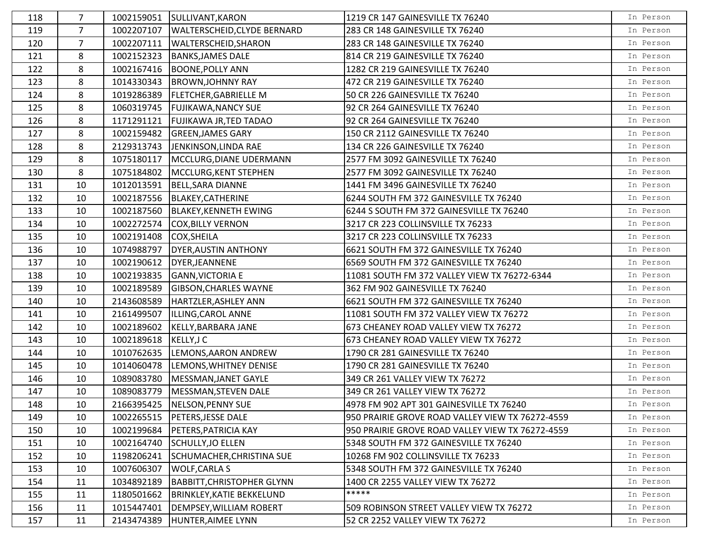| 118 | $\overline{7}$ | 1002159051 | SULLIVANT, KARON                  | 1219 CR 147 GAINESVILLE TX 76240                 | In Person |
|-----|----------------|------------|-----------------------------------|--------------------------------------------------|-----------|
| 119 | $\overline{7}$ | 1002207107 | WALTERSCHEID, CLYDE BERNARD       | 283 CR 148 GAINESVILLE TX 76240                  | In Person |
| 120 | 7              | 1002207111 | <b>WALTERSCHEID, SHARON</b>       | 283 CR 148 GAINESVILLE TX 76240                  | In Person |
| 121 | 8              | 1002152323 | <b>BANKS, JAMES DALE</b>          | 814 CR 219 GAINESVILLE TX 76240                  | In Person |
| 122 | 8              | 1002167416 | <b>BOONE, POLLY ANN</b>           | 1282 CR 219 GAINESVILLE TX 76240                 | In Person |
| 123 | 8              | 1014330343 | <b>BROWN, JOHNNY RAY</b>          | 472 CR 219 GAINESVILLE TX 76240                  | In Person |
| 124 | 8              | 1019286389 | <b>FLETCHER, GABRIELLE M</b>      | 50 CR 226 GAINESVILLE TX 76240                   | In Person |
| 125 | 8              | 1060319745 | <b>FUJIKAWA, NANCY SUE</b>        | 92 CR 264 GAINESVILLE TX 76240                   | In Person |
| 126 | 8              | 1171291121 | FUJIKAWA JR, TED TADAO            | 92 CR 264 GAINESVILLE TX 76240                   | In Person |
| 127 | 8              | 1002159482 | <b>GREEN, JAMES GARY</b>          | 150 CR 2112 GAINESVILLE TX 76240                 | In Person |
| 128 | 8              | 2129313743 | JENKINSON, LINDA RAE              | 134 CR 226 GAINESVILLE TX 76240                  | In Person |
| 129 | 8              | 1075180117 | MCCLURG, DIANE UDERMANN           | 2577 FM 3092 GAINESVILLE TX 76240                | In Person |
| 130 | 8              | 1075184802 | <b>MCCLURG, KENT STEPHEN</b>      | 2577 FM 3092 GAINESVILLE TX 76240                | In Person |
| 131 | 10             | 1012013591 | <b>BELL, SARA DIANNE</b>          | 1441 FM 3496 GAINESVILLE TX 76240                | In Person |
| 132 | 10             | 1002187556 | BLAKEY, CATHERINE                 | 6244 SOUTH FM 372 GAINESVILLE TX 76240           | In Person |
| 133 | 10             | 1002187560 | <b>BLAKEY, KENNETH EWING</b>      | 6244 S SOUTH FM 372 GAINESVILLE TX 76240         | In Person |
| 134 | 10             | 1002272574 | <b>COX, BILLY VERNON</b>          | 3217 CR 223 COLLINSVILLE TX 76233                | In Person |
| 135 | 10             | 1002191408 | <b>COX, SHEILA</b>                | 3217 CR 223 COLLINSVILLE TX 76233                | In Person |
| 136 | 10             | 1074988797 | <b>DYER, AUSTIN ANTHONY</b>       | 6621 SOUTH FM 372 GAINESVILLE TX 76240           | In Person |
| 137 | 10             | 1002190612 | DYER, JEANNENE                    | 6569 SOUTH FM 372 GAINESVILLE TX 76240           | In Person |
| 138 | 10             | 1002193835 | <b>GANN, VICTORIA E</b>           | 11081 SOUTH FM 372 VALLEY VIEW TX 76272-6344     | In Person |
| 139 | 10             | 1002189589 | <b>GIBSON, CHARLES WAYNE</b>      | 362 FM 902 GAINESVILLE TX 76240                  | In Person |
| 140 | 10             | 2143608589 | HARTZLER, ASHLEY ANN              | 6621 SOUTH FM 372 GAINESVILLE TX 76240           | In Person |
| 141 | 10             | 2161499507 | ILLING, CAROL ANNE                | 11081 SOUTH FM 372 VALLEY VIEW TX 76272          | In Person |
| 142 | 10             | 1002189602 | KELLY, BARBARA JANE               | 673 CHEANEY ROAD VALLEY VIEW TX 76272            | In Person |
| 143 | 10             | 1002189618 | KELLY, JC                         | 673 CHEANEY ROAD VALLEY VIEW TX 76272            | In Person |
| 144 | 10             | 1010762635 | LEMONS, AARON ANDREW              | 1790 CR 281 GAINESVILLE TX 76240                 | In Person |
| 145 | 10             | 1014060478 | LEMONS, WHITNEY DENISE            | 1790 CR 281 GAINESVILLE TX 76240                 | In Person |
| 146 | 10             | 1089083780 | MESSMAN, JANET GAYLE              | 349 CR 261 VALLEY VIEW TX 76272                  | In Person |
| 147 | 10             | 1089083779 | MESSMAN, STEVEN DALE              | 349 CR 261 VALLEY VIEW TX 76272                  | In Person |
| 148 | 10             | 2166395425 | NELSON, PENNY SUE                 | 4978 FM 902 APT 301 GAINESVILLE TX 76240         | In Person |
| 149 | 10             | 1002265515 | <b>PETERS, JESSE DALE</b>         | 950 PRAIRIE GROVE ROAD VALLEY VIEW TX 76272-4559 | In Person |
| 150 | 10             | 1002199684 | PETERS, PATRICIA KAY              | 950 PRAIRIE GROVE ROAD VALLEY VIEW TX 76272-4559 | In Person |
| 151 | 10             | 1002164740 | <b>SCHULLY, JO ELLEN</b>          | 5348 SOUTH FM 372 GAINESVILLE TX 76240           | In Person |
| 152 | 10             | 1198206241 | <b>SCHUMACHER, CHRISTINA SUE</b>  | 10268 FM 902 COLLINSVILLE TX 76233               | In Person |
| 153 | 10             | 1007606307 | <b>WOLF, CARLA S</b>              | 5348 SOUTH FM 372 GAINESVILLE TX 76240           | In Person |
| 154 | 11             | 1034892189 | <b>BABBITT, CHRISTOPHER GLYNN</b> | 1400 CR 2255 VALLEY VIEW TX 76272                | In Person |
| 155 | 11             | 1180501662 | <b>BRINKLEY, KATIE BEKKELUND</b>  | *****                                            | In Person |
| 156 | 11             | 1015447401 | DEMPSEY, WILLIAM ROBERT           | 509 ROBINSON STREET VALLEY VIEW TX 76272         | In Person |
| 157 | 11             | 2143474389 | HUNTER, AIMEE LYNN                | 52 CR 2252 VALLEY VIEW TX 76272                  | In Person |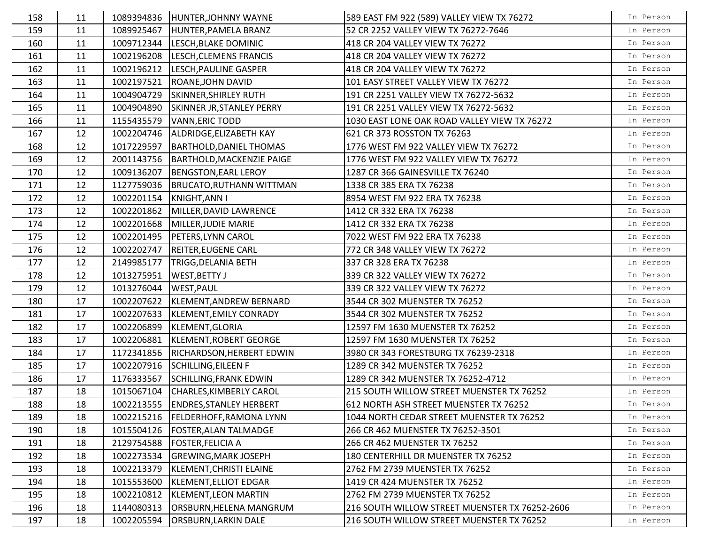| 158 | 11 | 1089394836 | HUNTER, JOHNNY WAYNE                | 589 EAST FM 922 (589) VALLEY VIEW TX 76272     | In Person |
|-----|----|------------|-------------------------------------|------------------------------------------------|-----------|
| 159 | 11 | 1089925467 | HUNTER, PAMELA BRANZ                | 52 CR 2252 VALLEY VIEW TX 76272-7646           | In Person |
| 160 | 11 | 1009712344 | LESCH, BLAKE DOMINIC                | 418 CR 204 VALLEY VIEW TX 76272                | In Person |
| 161 | 11 | 1002196208 | LESCH, CLEMENS FRANCIS              | 418 CR 204 VALLEY VIEW TX 76272                | In Person |
| 162 | 11 | 1002196212 | LESCH, PAULINE GASPER               | 418 CR 204 VALLEY VIEW TX 76272                | In Person |
| 163 | 11 | 1002197521 | ROANE, JOHN DAVID                   | 101 EASY STREET VALLEY VIEW TX 76272           | In Person |
| 164 | 11 | 1004904729 | <b>SKINNER, SHIRLEY RUTH</b>        | 191 CR 2251 VALLEY VIEW TX 76272-5632          | In Person |
| 165 | 11 | 1004904890 | SKINNER JR, STANLEY PERRY           | 191 CR 2251 VALLEY VIEW TX 76272-5632          | In Person |
| 166 | 11 | 1155435579 | <b>VANN, ERIC TODD</b>              | 1030 EAST LONE OAK ROAD VALLEY VIEW TX 76272   | In Person |
| 167 | 12 | 1002204746 | ALDRIDGE, ELIZABETH KAY             | 621 CR 373 ROSSTON TX 76263                    | In Person |
| 168 | 12 | 1017229597 | <b>BARTHOLD, DANIEL THOMAS</b>      | 1776 WEST FM 922 VALLEY VIEW TX 76272          | In Person |
| 169 | 12 | 2001143756 | <b>BARTHOLD, MACKENZIE PAIGE</b>    | 1776 WEST FM 922 VALLEY VIEW TX 76272          | In Person |
| 170 | 12 | 1009136207 | <b>BENGSTON, EARL LEROY</b>         | 1287 CR 366 GAINESVILLE TX 76240               | In Person |
| 171 | 12 | 1127759036 | <b>BRUCATO, RUTHANN WITTMAN</b>     | 1338 CR 385 ERA TX 76238                       | In Person |
| 172 | 12 | 1002201154 | KNIGHT, ANN I                       | 8954 WEST FM 922 ERA TX 76238                  | In Person |
| 173 | 12 | 1002201862 | MILLER, DAVID LAWRENCE              | 1412 CR 332 ERA TX 76238                       | In Person |
| 174 | 12 | 1002201668 | MILLER, JUDIE MARIE                 | 1412 CR 332 ERA TX 76238                       | In Person |
| 175 | 12 | 1002201495 | PETERS, LYNN CAROL                  | 7022 WEST FM 922 ERA TX 76238                  | In Person |
| 176 | 12 | 1002202747 | <b>REITER, EUGENE CARL</b>          | 772 CR 348 VALLEY VIEW TX 76272                | In Person |
| 177 | 12 | 2149985177 | TRIGG, DELANIA BETH                 | 337 CR 328 ERA TX 76238                        | In Person |
| 178 | 12 | 1013275951 | WEST, BETTY J                       | 339 CR 322 VALLEY VIEW TX 76272                | In Person |
| 179 | 12 | 1013276044 | <b>WEST, PAUL</b>                   | 339 CR 322 VALLEY VIEW TX 76272                | In Person |
| 180 | 17 | 1002207622 | KLEMENT, ANDREW BERNARD             | 3544 CR 302 MUENSTER TX 76252                  | In Person |
| 181 | 17 | 1002207633 | KLEMENT, EMILY CONRADY              | 3544 CR 302 MUENSTER TX 76252                  | In Person |
| 182 | 17 | 1002206899 | KLEMENT, GLORIA                     | 12597 FM 1630 MUENSTER TX 76252                | In Person |
| 183 | 17 | 1002206881 | KLEMENT, ROBERT GEORGE              | 12597 FM 1630 MUENSTER TX 76252                | In Person |
| 184 | 17 | 1172341856 | RICHARDSON, HERBERT EDWIN           | 3980 CR 343 FORESTBURG TX 76239-2318           | In Person |
| 185 | 17 | 1002207916 | <b>SCHILLING, EILEEN F</b>          | 1289 CR 342 MUENSTER TX 76252                  | In Person |
| 186 | 17 | 1176333567 | <b>SCHILLING, FRANK EDWIN</b>       | 1289 CR 342 MUENSTER TX 76252-4712             | In Person |
| 187 | 18 | 1015067104 | CHARLES, KIMBERLY CAROL             | 215 SOUTH WILLOW STREET MUENSTER TX 76252      | In Person |
| 188 | 18 |            | 1002213555  ENDRES, STANLEY HERBERT | 612 NORTH ASH STREET MUENSTER TX 76252         | In Person |
| 189 | 18 | 1002215216 | FELDERHOFF, RAMONA LYNN             | 1044 NORTH CEDAR STREET MUENSTER TX 76252      | In Person |
| 190 | 18 | 1015504126 | <b>FOSTER, ALAN TALMADGE</b>        | 266 CR 462 MUENSTER TX 76252-3501              | In Person |
| 191 | 18 | 2129754588 | <b>FOSTER, FELICIA A</b>            | 266 CR 462 MUENSTER TX 76252                   | In Person |
| 192 | 18 | 1002273534 | <b>GREWING, MARK JOSEPH</b>         | 180 CENTERHILL DR MUENSTER TX 76252            | In Person |
| 193 | 18 | 1002213379 | KLEMENT, CHRISTI ELAINE             | 2762 FM 2739 MUENSTER TX 76252                 | In Person |
| 194 | 18 | 1015553600 | KLEMENT, ELLIOT EDGAR               | 1419 CR 424 MUENSTER TX 76252                  | In Person |
| 195 | 18 | 1002210812 | <b>KLEMENT, LEON MARTIN</b>         | 2762 FM 2739 MUENSTER TX 76252                 | In Person |
| 196 | 18 | 1144080313 | ORSBURN, HELENA MANGRUM             | 216 SOUTH WILLOW STREET MUENSTER TX 76252-2606 | In Person |
| 197 | 18 | 1002205594 | <b>ORSBURN, LARKIN DALE</b>         | 216 SOUTH WILLOW STREET MUENSTER TX 76252      | In Person |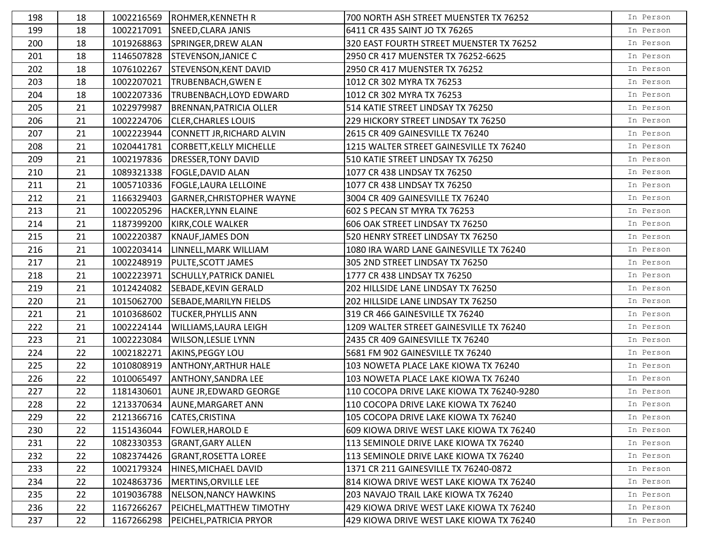| 198 | 18 | 1002216569 | ROHMER, KENNETH R                    | 700 NORTH ASH STREET MUENSTER TX 76252    | In Person |
|-----|----|------------|--------------------------------------|-------------------------------------------|-----------|
| 199 | 18 | 1002217091 | SNEED, CLARA JANIS                   | 6411 CR 435 SAINT JO TX 76265             | In Person |
| 200 | 18 | 1019268863 | SPRINGER, DREW ALAN                  | 320 EAST FOURTH STREET MUENSTER TX 76252  | In Person |
| 201 | 18 | 1146507828 | <b>STEVENSON, JANICE C</b>           | 2950 CR 417 MUENSTER TX 76252-6625        | In Person |
| 202 | 18 | 1076102267 | <b>STEVENSON, KENT DAVID</b>         | 2950 CR 417 MUENSTER TX 76252             | In Person |
| 203 | 18 | 1002207021 | <b>TRUBENBACH, GWEN E</b>            | 1012 CR 302 MYRA TX 76253                 | In Person |
| 204 | 18 | 1002207336 | TRUBENBACH, LOYD EDWARD              | 1012 CR 302 MYRA TX 76253                 | In Person |
| 205 | 21 | 1022979987 | <b>BRENNAN, PATRICIA OLLER</b>       | 514 KATIE STREET LINDSAY TX 76250         | In Person |
| 206 | 21 | 1002224706 | <b>CLER, CHARLES LOUIS</b>           | 229 HICKORY STREET LINDSAY TX 76250       | In Person |
| 207 | 21 |            | 1002223944 CONNETT JR, RICHARD ALVIN | 2615 CR 409 GAINESVILLE TX 76240          | In Person |
| 208 | 21 | 1020441781 | <b>CORBETT, KELLY MICHELLE</b>       | 1215 WALTER STREET GAINESVILLE TX 76240   | In Person |
| 209 | 21 | 1002197836 | <b>DRESSER, TONY DAVID</b>           | 510 KATIE STREET LINDSAY TX 76250         | In Person |
| 210 | 21 | 1089321338 | <b>FOGLE, DAVID ALAN</b>             | 1077 CR 438 LINDSAY TX 76250              | In Person |
| 211 | 21 | 1005710336 | <b>FOGLE, LAURA LELLOINE</b>         | 1077 CR 438 LINDSAY TX 76250              | In Person |
| 212 | 21 | 1166329403 | <b>GARNER, CHRISTOPHER WAYNE</b>     | 3004 CR 409 GAINESVILLE TX 76240          | In Person |
| 213 | 21 | 1002205296 | HACKER, LYNN ELAINE                  | 602 S PECAN ST MYRA TX 76253              | In Person |
| 214 | 21 | 1187399200 | KIRK, COLE WALKER                    | 606 OAK STREET LINDSAY TX 76250           | In Person |
| 215 | 21 | 1002220387 | <b>KNAUF, JAMES DON</b>              | 520 HENRY STREET LINDSAY TX 76250         | In Person |
| 216 | 21 | 1002203414 | LINNELL, MARK WILLIAM                | 1080 IRA WARD LANE GAINESVILLE TX 76240   | In Person |
| 217 | 21 | 1002248919 | PULTE, SCOTT JAMES                   | 305 2ND STREET LINDSAY TX 76250           | In Person |
| 218 | 21 | 1002223971 | <b>SCHULLY, PATRICK DANIEL</b>       | 1777 CR 438 LINDSAY TX 76250              | In Person |
| 219 | 21 | 1012424082 | SEBADE, KEVIN GERALD                 | 202 HILLSIDE LANE LINDSAY TX 76250        | In Person |
| 220 | 21 | 1015062700 | SEBADE, MARILYN FIELDS               | 202 HILLSIDE LANE LINDSAY TX 76250        | In Person |
| 221 | 21 | 1010368602 | <b>TUCKER, PHYLLIS ANN</b>           | 319 CR 466 GAINESVILLE TX 76240           | In Person |
| 222 | 21 | 1002224144 | WILLIAMS, LAURA LEIGH                | 1209 WALTER STREET GAINESVILLE TX 76240   | In Person |
| 223 | 21 | 1002223084 | <b>WILSON, LESLIE LYNN</b>           | 2435 CR 409 GAINESVILLE TX 76240          | In Person |
| 224 | 22 | 1002182271 | AKINS, PEGGY LOU                     | 5681 FM 902 GAINESVILLE TX 76240          | In Person |
| 225 | 22 | 1010808919 | <b>ANTHONY, ARTHUR HALE</b>          | 103 NOWETA PLACE LAKE KIOWA TX 76240      | In Person |
| 226 | 22 | 1010065497 | <b>ANTHONY, SANDRA LEE</b>           | 103 NOWETA PLACE LAKE KIOWA TX 76240      | In Person |
| 227 | 22 | 1181430601 | <b>AUNE JR, EDWARD GEORGE</b>        | 110 COCOPA DRIVE LAKE KIOWA TX 76240-9280 | In Person |
| 228 | 22 |            | 1213370634 AUNE, MARGARET ANN        | 110 COCOPA DRIVE LAKE KIOWA TX 76240      | In Person |
| 229 | 22 | 2121366716 | CATES, CRISTINA                      | 105 COCOPA DRIVE LAKE KIOWA TX 76240      | In Person |
| 230 | 22 | 1151436044 | <b>FOWLER, HAROLD E</b>              | 609 KIOWA DRIVE WEST LAKE KIOWA TX 76240  | In Person |
| 231 | 22 | 1082330353 | <b>GRANT, GARY ALLEN</b>             | 113 SEMINOLE DRIVE LAKE KIOWA TX 76240    | In Person |
| 232 | 22 | 1082374426 | <b>GRANT, ROSETTA LOREE</b>          | 113 SEMINOLE DRIVE LAKE KIOWA TX 76240    | In Person |
| 233 | 22 | 1002179324 | HINES, MICHAEL DAVID                 | 1371 CR 211 GAINESVILLE TX 76240-0872     | In Person |
| 234 | 22 | 1024863736 | MERTINS, ORVILLE LEE                 | 814 KIOWA DRIVE WEST LAKE KIOWA TX 76240  | In Person |
| 235 | 22 | 1019036788 | NELSON, NANCY HAWKINS                | 203 NAVAJO TRAIL LAKE KIOWA TX 76240      | In Person |
| 236 | 22 | 1167266267 | PEICHEL, MATTHEW TIMOTHY             | 429 KIOWA DRIVE WEST LAKE KIOWA TX 76240  | In Person |
| 237 | 22 | 1167266298 | PEICHEL, PATRICIA PRYOR              | 429 KIOWA DRIVE WEST LAKE KIOWA TX 76240  | In Person |